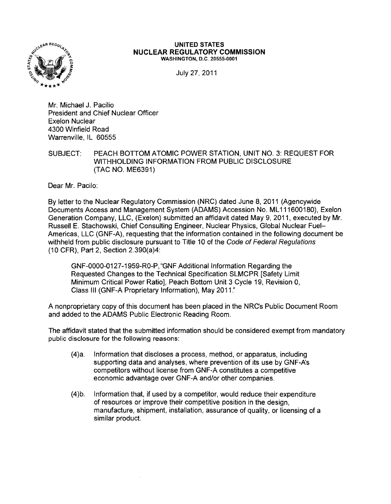

## **UNITED STATES NUCLEAR REGULATORY COMMISSION** WASHINGTON, D.C. 20555-0001

July 27, 2011

Mr. Michael J. Pacilio President and Chief Nuclear Officer Exelon Nuclear 4300 Winfield Road Warrenville, IL 60555

SUBJECT: PEACH BOTTOM ATOMIC POWER STATION, UNIT NO.3: REQUEST FOR WITHHOLDING INFORMATION FROM PUBLIC DISCLOSURE (TAC NO. ME6391)

Dear Mr. Pacilo:

By letter to the Nuclear Regulatory Commission (NRC) dated June 8. 2011 (Agencywide Documents Access and Management System (ADAMS) Accession No. ML111600180), Exelon Generation Company, LLC. (Exelon) submitted an affidavit dated May 9, 2011, executed by Mr. Russell E. Stachowski, Chief Consulting Engineer, Nuclear Physics, Global Nuclear Fuel-Americas, LLC (GNF-A), requesting that the information contained in the following document be withheld from public disclosure pursuant to Title 10 of the Code of Federal Regulations (10 CFR), Part 2, Section 2.390(a)4:

GNF-0000-0127 -1959-RO-P, "GNF Additional Information Regarding the Requested Changes to the Technical Specification SLMCPR [Safety Limit Minimum Critical Power Ratio], Peach Bottom Unit 3 Cycle 19, Revision 0, Class III (GNF-A Proprietary Information), May 2011."

A nonproprietary copy of this document has been placed in the NRCs Public Document Room and added to the ADAMS Public Electronic Reading Room.

The affidavit stated that the submitted information should be considered exempt from mandatory public disclosure for the following reasons:

- (4)a. Information that discloses a process, method, or apparatus, including supporting data and analyses, where prevention of its use by GNF-A's competitors without license from GNF-A constitutes a competitive economic advantage over GNF-A and/or other companies.
- (4)b. Information that, if used by a competitor, would reduce their expenditure of resources or improve their competitive position in the design, manufacture, shipment, installation, assurance of quality, or licensing of a similar product.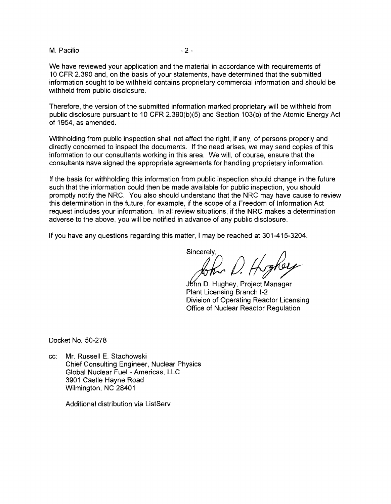## M. Pacilio and the set of the set of the set of the set of the set of the set of the set of the set of the set of the set of the set of the set of the set of the set of the set of the set of the set of the set of the set o

We have reviewed your application and the material in accordance with requirements of 10 CFR 2.390 and, on the basis of your statements, have determined that the submitted information sought to be withheld contains proprietary commercial information and should be withheld from public disclosure.

Therefore, the version of the submitted information marked proprietary will be withheld from public disclosure pursuant to 10 CFR 2.390(b)(5) and Section 103(b) of the Atomic Energy Act of 1954, as amended.

Withholding from public inspection shall not affect the right, if any, of persons properly and directly concerned to inspect the documents. If the need arises, we may send copies of this information to our consultants working in this area. We will, of course, ensure that the consultants have signed the appropriate agreements for handling proprietary information.

If the basis for withholding this information from public inspection should change in the future such that the information could then be made available for public inspection, you should promptly notify the NRC. You also should understand that the NRC may have cause to review this determination in the future, for example, if the scope of a Freedom of Information Act request includes your information. In all review situations, if the NRC makes a determination adverse to the above, you will be notified in advance of any public disclosure.

If you have any questions regarding this matter, I may be reached at 301-415-3204.

advance of any public disclosure.<br>ter, I may be reached at 301-415-3204.<br>Sincerely,<br> $\binom{1}{2}$ 

John D. Hughey, Project Manager Plant Licensing Branch 1-2 Division of Operating Reactor Licensing Office of Nuclear Reactor Regulation

Docket No. 50-278

cc: Mr. Russell E. Stachowski Chief Consulting Engineer, Nuclear Physics Global Nuclear Fuel - Americas, LLC 3901 Castle Hayne Road Wilmington, NC 28401

Additional distribution via ListServ